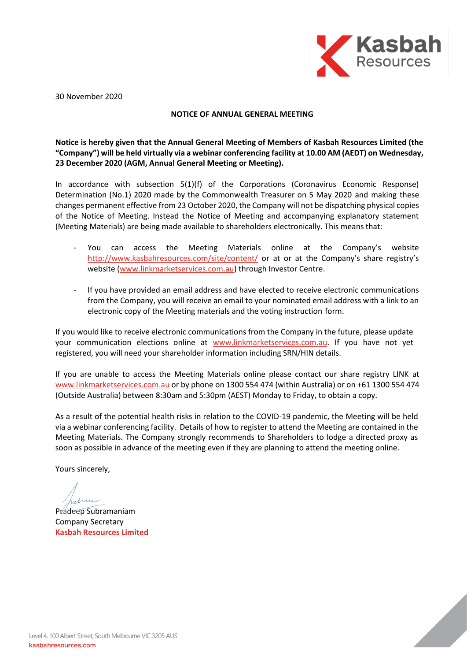

30 November 2020

#### **NOTICE OF ANNUAL GENERAL MEETING**

## **Notice is hereby given that the Annual General Meeting of Members of Kasbah Resources Limited (the "Company") will be held virtually via a webinar conferencing facility at 10.00 AM (AEDT) on Wednesday, 23 December 2020 (AGM, Annual General Meeting or Meeting).**

In accordance with subsection 5(1)(f) of the Corporations (Coronavirus Economic Response) Determination (No.1) 2020 made by the Commonwealth Treasurer on 5 May 2020 and making these changes permanent effective from 23 October 2020, the Company will not be dispatching physical copies of the Notice of Meeting. Instead the Notice of Meeting and accompanying explanatory statement (Meeting Materials) are being made available to shareholders electronically. This means that:

- You can access the Meeting Materials online at the Company's website http://www.kasbahresources.com/site/content/ or at or at the Company's share registry's website (www.linkmarketservices.com.au) through Investor Centre.
- If you have provided an email address and have elected to receive electronic communications from the Company, you will receive an email to your nominated email address with a link to an electronic copy of the Meeting materials and the voting instruction form.

If you would like to receive electronic communications from the Company in the future, please update your communication elections online at www.linkmarketservices.com.au. If you have not yet registered, you will need your shareholder information including SRN/HIN details.

If you are unable to access the Meeting Materials online please contact our share registry LINK at www.linkmarketservices.com.au or by phone on 1300 554 474 (within Australia) or on +61 1300 554 474 (Outside Australia) between 8:30am and 5:30pm (AEST) Monday to Friday, to obtain a copy.

As a result of the potential health risks in relation to the COVID-19 pandemic, the Meeting will be held via a webinar conferencing facility. Details of how to register to attend the Meeting are contained in the Meeting Materials. The Company strongly recommends to Shareholders to lodge a directed proxy as soon as possible in advance of the meeting even if they are planning to attend the meeting online.

Yours sincerely,

Pradeep Subramaniam Company Secretary **Kasbah Resources Limited**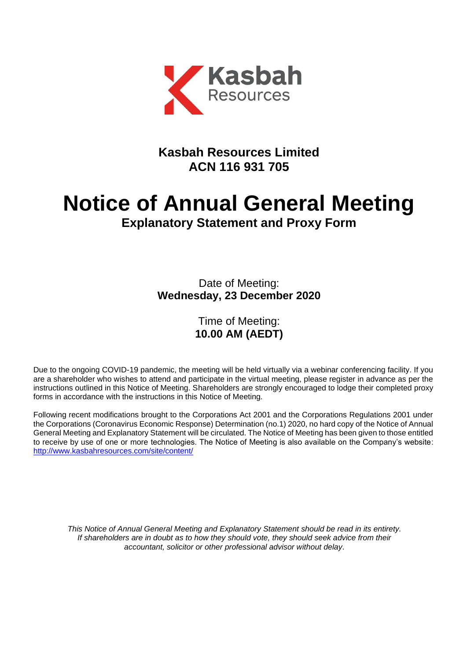

# **Kasbah Resources Limited ACN 116 931 705**

# **Notice of Annual General Meeting Explanatory Statement and Proxy Form**

Date of Meeting: **Wednesday, 23 December 2020**

## Time of Meeting: **10.00 AM (AEDT)**

Due to the ongoing COVID-19 pandemic, the meeting will be held virtually via a webinar conferencing facility. If you are a shareholder who wishes to attend and participate in the virtual meeting, please register in advance as per the instructions outlined in this Notice of Meeting. Shareholders are strongly encouraged to lodge their completed proxy forms in accordance with the instructions in this Notice of Meeting.

Following recent modifications brought to the Corporations Act 2001 and the Corporations Regulations 2001 under the Corporations (Coronavirus Economic Response) Determination (no.1) 2020, no hard copy of the Notice of Annual General Meeting and Explanatory Statement will be circulated. The Notice of Meeting has been given to those entitled to receive by use of one or more technologies. The Notice of Meeting is also available on the Company's website: http://www.kasbahresources.com/site/content/

*This Notice of Annual General Meeting and Explanatory Statement should be read in its entirety. If shareholders are in doubt as to how they should vote, they should seek advice from their accountant, solicitor or other professional advisor without delay.*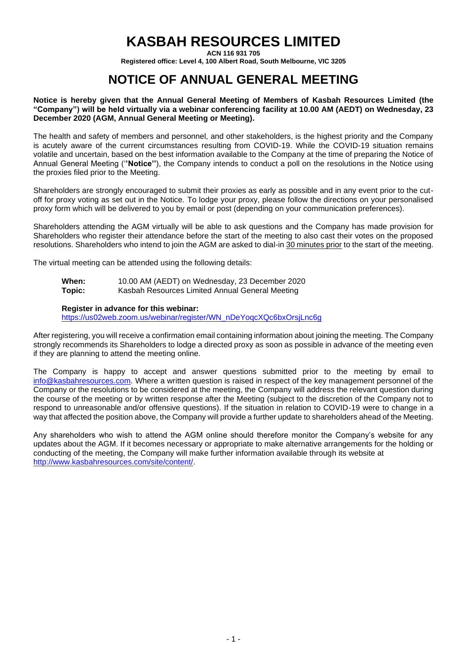# **KASBAH RESOURCES LIMITED**

**ACN 116 931 705**

**Registered office: Level 4, 100 Albert Road, South Melbourne, VIC 3205**

# **NOTICE OF ANNUAL GENERAL MEETING**

#### **Notice is hereby given that the Annual General Meeting of Members of Kasbah Resources Limited (the "Company") will be held virtually via a webinar conferencing facility at 10.00 AM (AEDT) on Wednesday, 23 December 2020 (AGM, Annual General Meeting or Meeting).**

The health and safety of members and personnel, and other stakeholders, is the highest priority and the Company is acutely aware of the current circumstances resulting from COVID-19. While the COVID-19 situation remains volatile and uncertain, based on the best information available to the Company at the time of preparing the Notice of Annual General Meeting ('**'Notice''**), the Company intends to conduct a poll on the resolutions in the Notice using the proxies filed prior to the Meeting.

Shareholders are strongly encouraged to submit their proxies as early as possible and in any event prior to the cutoff for proxy voting as set out in the Notice. To lodge your proxy, please follow the directions on your personalised proxy form which will be delivered to you by email or post (depending on your communication preferences).

Shareholders attending the AGM virtually will be able to ask questions and the Company has made provision for Shareholders who register their attendance before the start of the meeting to also cast their votes on the proposed resolutions. Shareholders who intend to join the AGM are asked to dial-in 30 minutes prior to the start of the meeting.

The virtual meeting can be attended using the following details:

| When:  | 10.00 AM (AEDT) on Wednesday, 23 December 2020  |
|--------|-------------------------------------------------|
| Topic: | Kasbah Resources Limited Annual General Meeting |

#### **Register in advance for this webinar:**

https://us02web.zoom.us/webinar/register/WN\_nDeYoqcXQc6bxOrsjLnc6g

After registering, you will receive a confirmation email containing information about joining the meeting. The Company strongly recommends its Shareholders to lodge a directed proxy as soon as possible in advance of the meeting even if they are planning to attend the meeting online.

The Company is happy to accept and answer questions submitted prior to the meeting by email to info@kasbahresources.com. Where a written question is raised in respect of the key management personnel of the Company or the resolutions to be considered at the meeting, the Company will address the relevant question during the course of the meeting or by written response after the Meeting (subject to the discretion of the Company not to respond to unreasonable and/or offensive questions). If the situation in relation to COVID-19 were to change in a way that affected the position above, the Company will provide a further update to shareholders ahead of the Meeting.

Any shareholders who wish to attend the AGM online should therefore monitor the Company's website for any updates about the AGM. If it becomes necessary or appropriate to make alternative arrangements for the holding or conducting of the meeting, the Company will make further information available through its website at http://www.kasbahresources.com/site/content/.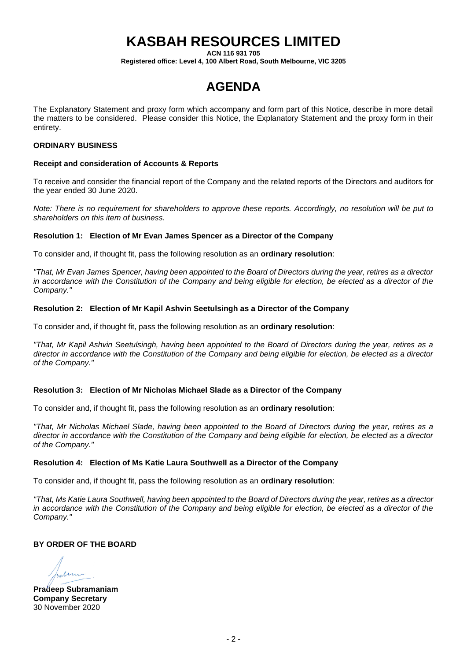# **KASBAH RESOURCES LIMITED**

**ACN 116 931 705**

**Registered office: Level 4, 100 Albert Road, South Melbourne, VIC 3205**

# **AGENDA**

The Explanatory Statement and proxy form which accompany and form part of this Notice, describe in more detail the matters to be considered. Please consider this Notice, the Explanatory Statement and the proxy form in their entirety.

#### **ORDINARY BUSINESS**

#### **Receipt and consideration of Accounts & Reports**

To receive and consider the financial report of the Company and the related reports of the Directors and auditors for the year ended 30 June 2020.

*Note: There is no requirement for shareholders to approve these reports. Accordingly, no resolution will be put to shareholders on this item of business.*

#### **Resolution 1: Election of Mr Evan James Spencer as a Director of the Company**

To consider and, if thought fit, pass the following resolution as an **ordinary resolution**:

*"That, Mr Evan James Spencer, having been appointed to the Board of Directors during the year, retires as a director in accordance with the Constitution of the Company and being eligible for election, be elected as a director of the Company."*

#### **Resolution 2: Election of Mr Kapil Ashvin Seetulsingh as a Director of the Company**

To consider and, if thought fit, pass the following resolution as an **ordinary resolution**:

*"That, Mr Kapil Ashvin Seetulsingh, having been appointed to the Board of Directors during the year, retires as a director in accordance with the Constitution of the Company and being eligible for election, be elected as a director of the Company."*

### **Resolution 3: Election of Mr Nicholas Michael Slade as a Director of the Company**

To consider and, if thought fit, pass the following resolution as an **ordinary resolution**:

*"That, Mr Nicholas Michael Slade, having been appointed to the Board of Directors during the year, retires as a director in accordance with the Constitution of the Company and being eligible for election, be elected as a director of the Company."*

### **Resolution 4: Election of Ms Katie Laura Southwell as a Director of the Company**

To consider and, if thought fit, pass the following resolution as an **ordinary resolution**:

*"That, Ms Katie Laura Southwell, having been appointed to the Board of Directors during the year, retires as a director in accordance with the Constitution of the Company and being eligible for election, be elected as a director of the Company."*

### **BY ORDER OF THE BOARD**

en

**Pradeep Subramaniam Company Secretary** 30 November 2020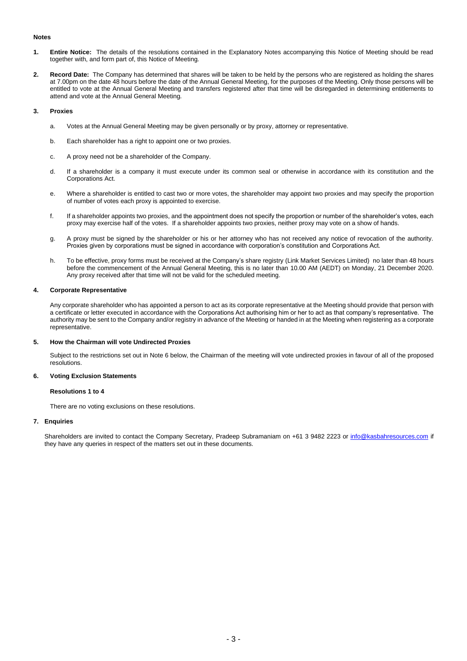#### **Notes**

- **1. Entire Notice:** The details of the resolutions contained in the Explanatory Notes accompanying this Notice of Meeting should be read together with, and form part of, this Notice of Meeting.
- **2. Record Date:** The Company has determined that shares will be taken to be held by the persons who are registered as holding the shares at 7.00pm on the date 48 hours before the date of the Annual General Meeting, for the purposes of the Meeting. Only those persons will be entitled to vote at the Annual General Meeting and transfers registered after that time will be disregarded in determining entitlements to attend and vote at the Annual General Meeting.

#### **3. Proxies**

- a. Votes at the Annual General Meeting may be given personally or by proxy, attorney or representative.
- b. Each shareholder has a right to appoint one or two proxies.
- c. A proxy need not be a shareholder of the Company.
- d. If a shareholder is a company it must execute under its common seal or otherwise in accordance with its constitution and the Corporations Act.
- e. Where a shareholder is entitled to cast two or more votes, the shareholder may appoint two proxies and may specify the proportion of number of votes each proxy is appointed to exercise.
- f. If a shareholder appoints two proxies, and the appointment does not specify the proportion or number of the shareholder's votes, each proxy may exercise half of the votes. If a shareholder appoints two proxies, neither proxy may vote on a show of hands.
- g. A proxy must be signed by the shareholder or his or her attorney who has not received any notice of revocation of the authority. Proxies given by corporations must be signed in accordance with corporation's constitution and Corporations Act.
- h. To be effective, proxy forms must be received at the Company's share registry (Link Market Services Limited) no later than 48 hours before the commencement of the Annual General Meeting, this is no later than 10.00 AM (AEDT) on Monday, 21 December 2020. Any proxy received after that time will not be valid for the scheduled meeting.

#### **4. Corporate Representative**

Any corporate shareholder who has appointed a person to act as its corporate representative at the Meeting should provide that person with a certificate or letter executed in accordance with the Corporations Act authorising him or her to act as that company's representative. The authority may be sent to the Company and/or registry in advance of the Meeting or handed in at the Meeting when registering as a corporate representative.

#### **5. How the Chairman will vote Undirected Proxies**

Subject to the restrictions set out in Note 6 below, the Chairman of the meeting will vote undirected proxies in favour of all of the proposed resolutions.

#### **6. Voting Exclusion Statements**

#### **Resolutions 1 to 4**

There are no voting exclusions on these resolutions.

#### **7. Enquiries**

Shareholders are invited to contact the Company Secretary, Pradeep Subramaniam on +61 3 9482 2223 or info@kasbahresources.com if they have any queries in respect of the matters set out in these documents.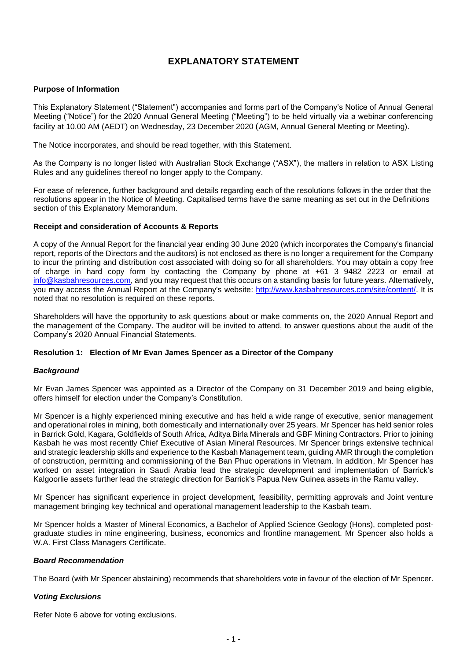## **EXPLANATORY STATEMENT**

#### **Purpose of Information**

This Explanatory Statement ("Statement") accompanies and forms part of the Company's Notice of Annual General Meeting ("Notice") for the 2020 Annual General Meeting ("Meeting") to be held virtually via a webinar conferencing facility at 10.00 AM (AEDT) on Wednesday, 23 December 2020 (AGM, Annual General Meeting or Meeting).

The Notice incorporates, and should be read together, with this Statement.

As the Company is no longer listed with Australian Stock Exchange ("ASX"), the matters in relation to ASX Listing Rules and any guidelines thereof no longer apply to the Company.

For ease of reference, further background and details regarding each of the resolutions follows in the order that the resolutions appear in the Notice of Meeting. Capitalised terms have the same meaning as set out in the Definitions section of this Explanatory Memorandum.

#### **Receipt and consideration of Accounts & Reports**

A copy of the Annual Report for the financial year ending 30 June 2020 (which incorporates the Company's financial report, reports of the Directors and the auditors) is not enclosed as there is no longer a requirement for the Company to incur the printing and distribution cost associated with doing so for all shareholders. You may obtain a copy free of charge in hard copy form by contacting the Company by phone at +61 3 9482 2223 or email at info@kasbahresources.com, and you may request that this occurs on a standing basis for future years. Alternatively, you may access the Annual Report at the Company's website: http://www.kasbahresources.com/site/content/. It is noted that no resolution is required on these reports.

Shareholders will have the opportunity to ask questions about or make comments on, the 2020 Annual Report and the management of the Company. The auditor will be invited to attend, to answer questions about the audit of the Company's 2020 Annual Financial Statements.

#### **Resolution 1: Election of Mr Evan James Spencer as a Director of the Company**

#### *Background*

Mr Evan James Spencer was appointed as a Director of the Company on 31 December 2019 and being eligible, offers himself for election under the Company's Constitution.

Mr Spencer is a highly experienced mining executive and has held a wide range of executive, senior management and operational roles in mining, both domestically and internationally over 25 years. Mr Spencer has held senior roles in Barrick Gold, Kagara, Goldfields of South Africa, Aditya Birla Minerals and GBF Mining Contractors. Prior to joining Kasbah he was most recently Chief Executive of Asian Mineral Resources. Mr Spencer brings extensive technical and strategic leadership skills and experience to the Kasbah Management team, guiding AMR through the completion of construction, permitting and commissioning of the Ban Phuc operations in Vietnam. In addition, Mr Spencer has worked on asset integration in Saudi Arabia lead the strategic development and implementation of Barrick's Kalgoorlie assets further lead the strategic direction for Barrick's Papua New Guinea assets in the Ramu valley.

Mr Spencer has significant experience in project development, feasibility, permitting approvals and Joint venture management bringing key technical and operational management leadership to the Kasbah team.

Mr Spencer holds a Master of Mineral Economics, a Bachelor of Applied Science Geology (Hons), completed postgraduate studies in mine engineering, business, economics and frontline management. Mr Spencer also holds a W.A. First Class Managers Certificate.

#### *Board Recommendation*

The Board (with Mr Spencer abstaining) recommends that shareholders vote in favour of the election of Mr Spencer.

### *Voting Exclusions*

Refer Note 6 above for voting exclusions.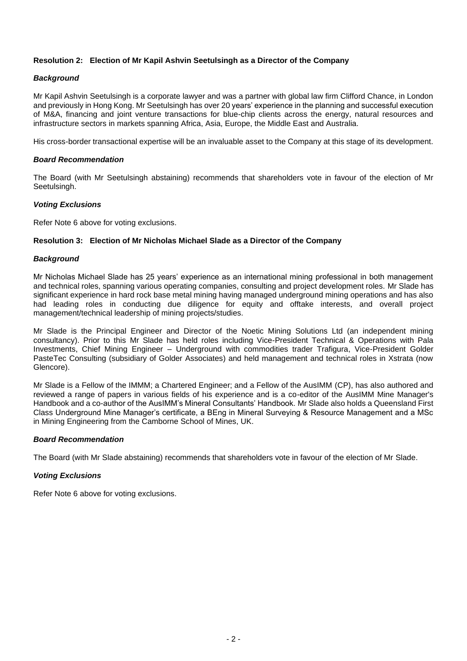### **Resolution 2: Election of Mr Kapil Ashvin Seetulsingh as a Director of the Company**

### *Background*

Mr Kapil Ashvin Seetulsingh is a corporate lawyer and was a partner with global law firm Clifford Chance, in London and previously in Hong Kong. Mr Seetulsingh has over 20 years' experience in the planning and successful execution of M&A, financing and joint venture transactions for blue-chip clients across the energy, natural resources and infrastructure sectors in markets spanning Africa, Asia, Europe, the Middle East and Australia.

His cross-border transactional expertise will be an invaluable asset to the Company at this stage of its development.

#### *Board Recommendation*

The Board (with Mr Seetulsingh abstaining) recommends that shareholders vote in favour of the election of Mr Seetulsingh.

### *Voting Exclusions*

Refer Note 6 above for voting exclusions.

#### **Resolution 3: Election of Mr Nicholas Michael Slade as a Director of the Company**

#### *Background*

Mr Nicholas Michael Slade has 25 years' experience as an international mining professional in both management and technical roles, spanning various operating companies, consulting and project development roles. Mr Slade has significant experience in hard rock base metal mining having managed underground mining operations and has also had leading roles in conducting due diligence for equity and offtake interests, and overall project management/technical leadership of mining projects/studies.

Mr Slade is the Principal Engineer and Director of the Noetic Mining Solutions Ltd (an independent mining consultancy). Prior to this Mr Slade has held roles including Vice-President Technical & Operations with Pala Investments, Chief Mining Engineer – Underground with commodities trader Trafigura, Vice-President Golder PasteTec Consulting (subsidiary of Golder Associates) and held management and technical roles in Xstrata (now Glencore).

Mr Slade is a Fellow of the IMMM; a Chartered Engineer; and a Fellow of the AusIMM (CP), has also authored and reviewed a range of papers in various fields of his experience and is a co-editor of the AusIMM Mine Manager's Handbook and a co-author of the AusIMM's Mineral Consultants' Handbook. Mr Slade also holds a Queensland First Class Underground Mine Manager's certificate, a BEng in Mineral Surveying & Resource Management and a MSc in Mining Engineering from the Camborne School of Mines, UK.

### *Board Recommendation*

The Board (with Mr Slade abstaining) recommends that shareholders vote in favour of the election of Mr Slade.

### *Voting Exclusions*

Refer Note 6 above for voting exclusions.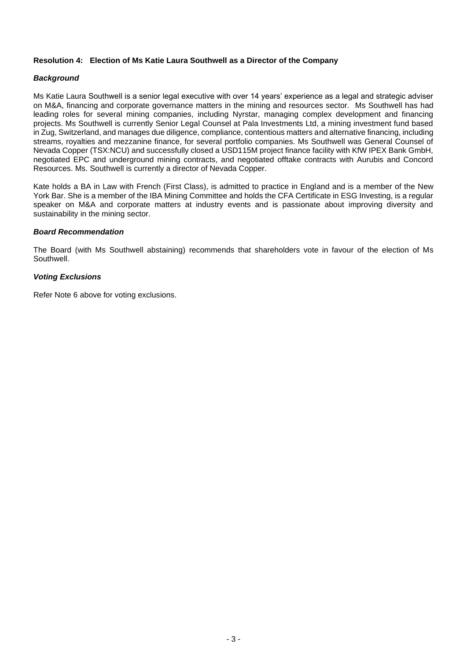#### **Resolution 4: Election of Ms Katie Laura Southwell as a Director of the Company**

#### *Background*

Ms Katie Laura Southwell is a senior legal executive with over 14 years' experience as a legal and strategic adviser on M&A, financing and corporate governance matters in the mining and resources sector. Ms Southwell has had leading roles for several mining companies, including Nyrstar, managing complex development and financing projects. Ms Southwell is currently Senior Legal Counsel at Pala Investments Ltd, a mining investment fund based in Zug, Switzerland, and manages due diligence, compliance, contentious matters and alternative financing, including streams, royalties and mezzanine finance, for several portfolio companies. Ms Southwell was General Counsel of Nevada Copper (TSX:NCU) and successfully closed a USD115M project finance facility with KfW IPEX Bank GmbH, negotiated EPC and underground mining contracts, and negotiated offtake contracts with Aurubis and Concord Resources. Ms. Southwell is currently a director of Nevada Copper.

Kate holds a BA in Law with French (First Class), is admitted to practice in England and is a member of the New York Bar. She is a member of the IBA Mining Committee and holds the CFA Certificate in ESG Investing, is a regular speaker on M&A and corporate matters at industry events and is passionate about improving diversity and sustainability in the mining sector.

#### *Board Recommendation*

The Board (with Ms Southwell abstaining) recommends that shareholders vote in favour of the election of Ms Southwell.

#### *Voting Exclusions*

Refer Note 6 above for voting exclusions.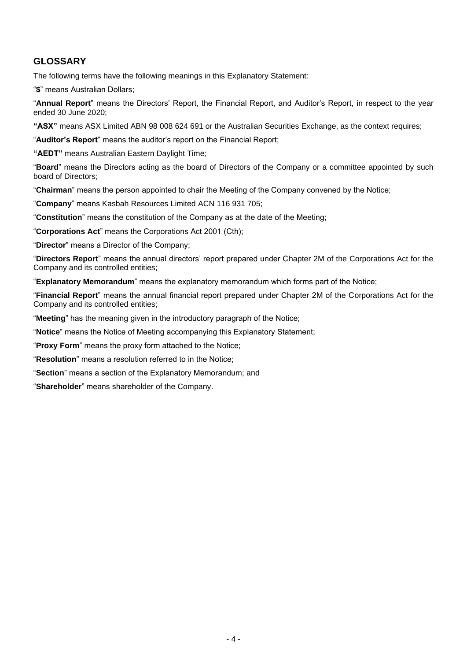## **GLOSSARY**

The following terms have the following meanings in this Explanatory Statement:

"**\$**" means Australian Dollars;

"**Annual Report**" means the Directors' Report, the Financial Report, and Auditor's Report, in respect to the year ended 30 June 2020;

**"ASX"** means ASX Limited ABN 98 008 624 691 or the Australian Securities Exchange, as the context requires;

"**Auditor's Report**" means the auditor's report on the Financial Report;

**"AEDT"** means Australian Eastern Daylight Time;

"**Board**" means the Directors acting as the board of Directors of the Company or a committee appointed by such board of Directors;

"**Chairman**" means the person appointed to chair the Meeting of the Company convened by the Notice;

"**Company**" means Kasbah Resources Limited ACN 116 931 705;

"**Constitution**" means the constitution of the Company as at the date of the Meeting;

"**Corporations Act**" means the Corporations Act 2001 (Cth);

"**Director**" means a Director of the Company;

"**Directors Report**" means the annual directors' report prepared under Chapter 2M of the Corporations Act for the Company and its controlled entities;

"**Explanatory Memorandum**" means the explanatory memorandum which forms part of the Notice;

"**Financial Report**" means the annual financial report prepared under Chapter 2M of the Corporations Act for the Company and its controlled entities;

"**Meeting**" has the meaning given in the introductory paragraph of the Notice;

"**Notice**" means the Notice of Meeting accompanying this Explanatory Statement;

"**Proxy Form**" means the proxy form attached to the Notice;

"**Resolution**" means a resolution referred to in the Notice;

"**Section**" means a section of the Explanatory Memorandum; and

"**Shareholder**" means shareholder of the Company.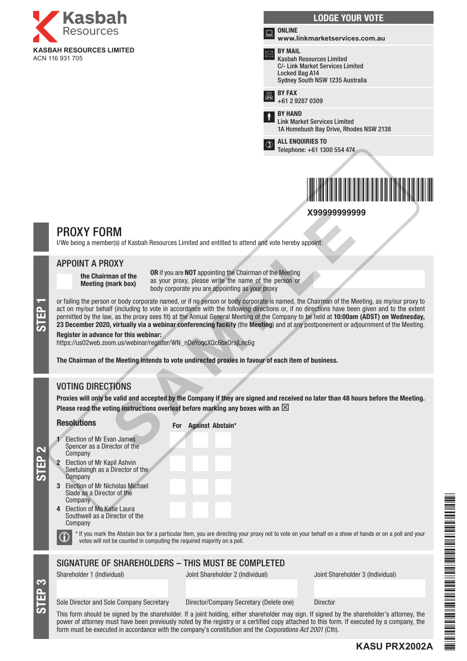





## PROXY FORM

I/We being a member(s) of Kasbah Resources Limited and entitled to attend and vote hereby appoint:

### APPOINT A PROXY

the Chairman of the Meeting (mark box)

OR if you are NOT appointing the Chairman of the Meeting as your proxy, please write the name of the person or body corporate you are appointing as your proxy

or failing the person or body corporate named, or if no person or body corporate is named, the Chairman of the Meeting, as my/our proxy to act on my/our behalf (including to vote in accordance with the following directions act on my/our behalf (including to vote in accordance with the following directions or, if no directions have been given and to the extent permitted by the law, as the proxy sees fit) at the Annual General Meeting of the Company to be held at 10:00am (ADST) on Wednesday, 23 December 2020, virtually via a webinar conferencing facility (the Meeting) and at any postponement or adjournment of the Meeting. **X99999999999** SAMPLE

#### Register in advance for this webinar:

https://us02web.zoom.us/webinar/register/WN\_nDeYoqcXQc6bxOrsjLnc6g

The Chairman of the Meeting intends to vote undirected proxies in favour of each item of business.

## VOTING DIRECTIONS

Proxies will only be valid and accepted by the Company if they are signed and received no later than 48 hours before the Meeting. Please read the voting instructions overleaf before marking any boxes with an  $\boxtimes$ 

#### Resolutions

For Against Abstain\*

- **Election of Mr Evan James** Spencer as a Director of the Company
- **Election of Mr Kapil Ashvin** Seetulsingh as a Director of the **Company**
- 3 Election of Mr Nicholas Michael Slade as a Director of the **Company**
- 4 Election of Ms Katie Laura Southwell as a Director of the Company

S<br>EP 3

STEP 2

 $\bigcirc$  \* If you mark the Abstain box for a particular Item, you are directing your proxy not to vote on your behalf on a show of hands or on a poll and your votes will not be counted in computing the required majority on a

## SIGNATURE OF SHAREHOLDERS – THIS MUST BE COMPLETED

Shareholder 1 (Individual) Joint Shareholder 2 (Individual) Joint Shareholder 3 (Individual)

Sole Director and Sole Company Secretary Director/Company Secretary (Delete one) Director

This form should be signed by the shareholder. If a joint holding, either shareholder may sign. If signed by the shareholder's attorney, the power of attorney must have been previously noted by the registry or a certified copy attached to this form. If executed by a company, the form must be executed in accordance with the company's constitution and the *Corporations Act 2001* (Cth).

**KASU PRX2002A**

\*KASU PRANA PRANA PRANA PRANA PRANA PRANA PRANA PRANA PRANA PRANA PRANA PRANA PRANA PRANA PRANA PRANA PRANA PR